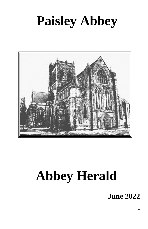# **Paisley Abbey**



# **Abbey Herald**

**June 2022**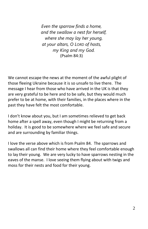*Even the sparrow finds a home, and the swallow a nest for herself, where she may lay her young, at your altars, O LORD of hosts, my King and my God.* (Psalm 84:3)

We cannot escape the news at the moment of the awful plight of those fleeing Ukraine because it is so unsafe to live there. The message I hear from those who have arrived in the UK is that they are very grateful to be here and to be safe, but they would much prefer to be at home, with their families, in the places where in the past they have felt the most comfortable.

I don't know about you, but I am sometimes relieved to get back home after a spell away, even though I might be returning from a holiday. It is good to be somewhere where we feel safe and secure and are surrounding by familiar things.

I love the verse above which is from Psalm 84. The sparrows and swallows all can find their home where they feel comfortable enough to lay their young. We are very lucky to have sparrows nesting in the eaves of the manse. I love seeing them flying about with twigs and moss for their nests and food for their young.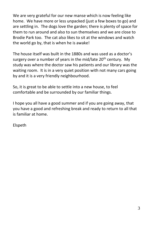We are very grateful for our new manse which is now feeling like home. We have more or less unpacked (just a few boxes to go) and are settling in. The dogs love the garden; there is plenty of space for them to run around and also to sun themselves and we are close to Brodie Park too. The cat also likes to sit at the windows and watch the world go by, that is when he is awake!

The house itself was built in the 1880s and was used as a doctor's surgery over a number of years in the mid/late 20<sup>th</sup> century. My study was where the doctor saw his patients and our library was the waiting room. It is in a very quiet position with not many cars going by and it is a very friendly neighbourhood.

So, it is great to be able to settle into a new house, to feel comfortable and be surrounded by our familiar things.

I hope you all have a good summer and if you are going away, that you have a good and refreshing break and ready to return to all that is familiar at home.

Elspeth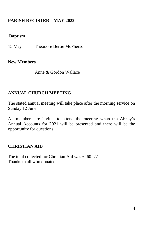# **PARISH REGISTER – MAY 2022**

#### **Baptism**

15 May Theodore Bertie McPherson

#### **New Members**

Anne & Gordon Wallace

### **ANNUAL CHURCH MEETING**

The stated annual meeting will take place after the morning service on Sunday 12 June.

All members are invited to attend the meeting when the Abbey's Annual Accounts for 2021 will be presented and there will be the opportunity for questions.

#### **CHRISTIAN AID**

The total collected for Christian Aid was £460 .77 Thanks to all who donated.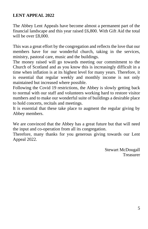# **LENT APPEAL 2022**

The Abbey Lent Appeals have become almost a permanent part of the financial landscape and this year raised £6,800. With Gift Aid the total will be over £8,000.

This was a great effort by the congregation and reflects the love that our members have for our wonderful church, taking in the services, ministry, pastoral care, music and the buildings.

The money raised will go towards meeting our commitment to the Church of Scotland and as you know this is increasingly difficult in a time when inflation is at its highest level for many years. Therefore, it is essential that regular weekly and monthly income is not only maintained but increased where possible.

Following the Covid 19 restrictions, the Abbey is slowly getting back to normal with our staff and volunteers working hard to restore visitor numbers and to make our wonderful suite of buildings a desirable place to hold concerts, recitals and meetings.

It is essential that these take place to augment the regular giving by Abbey members.

We are convinced that the Abbey has a great future but that will need the input and co-operation from all its congregation.

Therefore, many thanks for you generous giving towards our Lent Appeal 2022.

> Stewart McDougall Treasurer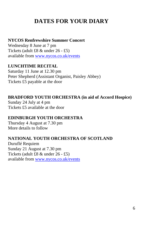# **DATES FOR YOUR DIARY**

#### **NYCOS Renfrewshire Summer Concert**

Wednesday 8 June at 7 pm Tickets (adult £8 & under 26 - £5) available from [www.nycos.co.uk/events](http://www.nycos.co.uk/events)

#### **LUNCHTIME RECITAL**

Saturday 11 June at 12.30 pm Peter Shepherd (Assistant Organist, Paisley Abbey) Tickets £5 payable at the door

#### **BRADFORD YOUTH ORCHESTRA (in aid of Accord Hospice)**

Sunday 24 July at 4 pm Tickets £5 available at the door

#### **EDINBURGH YOUTH ORCHESTRA**

Thursday 4 August at 7.30 pm More details to follow

#### **NATIONAL YOUTH ORCHESTRA OF SCOTLAND**

Duruflé Requiem Sunday 21 August at 7.30 pm Tickets (adult £8 & under 26 - £5) available from [www.nycos.co.uk/events](http://www.nycos.co.uk/events)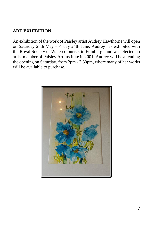# **ART EXHIBITION**

An exhibition of the work of Paisley artist Audrey Hawthorne will open on Saturday 28th May - Friday 24th June. Audrey has exhibited with the Royal Society of Watercolourists in Edinburgh and was elected an artist member of Paisley Art Institute in 2001. Audrey will be attending the opening on Saturday, from 2pm - 3.30pm, where many of her works will be available to purchase.

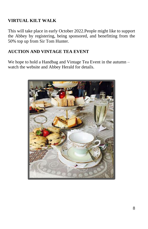# **VIRTUAL KILT WALK**

This will take place in early October 2022.People might like to support the Abbey by registering, being sponsored, and benefitting from the 50% top up from Sir Tom Hunter.

# **AUCTION AND VINTAGE TEA EVENT**

We hope to hold a Handbag and Vintage Tea Event in the autumn – watch the website and Abbey Herald for details.

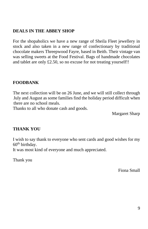# **DEALS IN THE ABBEY SHOP**

For the shopaholics we have a new range of Sheila Fleet jewellery in stock and also taken in a new range of confectionary by traditional chocolate makers Threepwood Fayre, based in Beith. Their vintage van was selling sweets at the Food Festival. Bags of handmade chocolates and tablet are only £2.50, so no excuse for not treating yourself!!

#### **FOODBANK**

The next collection will be on 26 June, and we will still collect through July and August as some families find the holiday period difficult when there are no school meals.

Thanks to all who donate cash and goods.

Margaret Sharp

#### **THANK YOU**

I wish to say thank to everyone who sent cards and good wishes for my  $60<sup>th</sup>$  birthday.

It was most kind of everyone and much appreciated.

Thank you

Fiona Small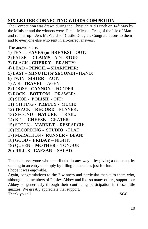# **SIX-LETTER CONNECTING WORDS COMPETION**

The Competition was drawn during the Christian Aid Lunch on 14<sup>th</sup> May by the Minister and the winners were. First - Michael Craig of the Isle of Man and runner-up – Jess McFaulds of Castle-Douglas. Congratulations to them and to everyone else who sent in all-correct answers.

The answers are:

- 1) TEA **LEAVES (or BREAKS) –** OUT:
- 2) FALSE - **CLAIMS -** ADJUSTOR:
- 3) BLACK **CHERRY** BRANDY:
- 4) LEAD **PENCIL –** SHARPENER:
- 5) LAST **MINUTE (or SECOND)**  HAND:
- 6) TWIN **SISTER** ACT:
- 7) AIR –**TRAVEL**  AGENT:
- 8) LOOSE **CANNON**  FODDER:
- 9) ROCK **BOTTOM** DRAWER:
- 10) SHOE **POLISH**  OFF:
- 11) SITTING **PRETTY -** MUCH:
- 12) TRACK **RECORD –** PLAYER**:**
- 13) SECOND **NATURE**  TRAIL:
- 14) BIG **CHEESE**  GRATER:
- 15) STOCK **MARKET**  RESEARCH:
- 16) RECORDING **STUDIO**  FLAT:
- 17) MARATHON **RUNNER -** BEAN:
- 18) GOOD **FRIDAY –** NIGHT:
- 19) QUEEN **MOTHER -** TONGUE
- 20) JULIUS **CAESAR**  SALAD.

Thanks to everyone who contributed in any  $way - by$  giving a donation, by sending in an entry or simply by filling in the clues just for fun. I hope it was enjoyable.

Again, congratulations to the 2 winners and particular thanks to them who, although not members of Paisley Abbey and like so many others, support our Abbey so generously through their continuing participation in these little quizzes. We greatly appreciate that support. Thank you all. SGC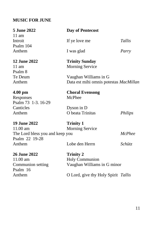# **MUSIC FOR JUNE**

| 5 June 2022<br>$11$ am          | Day of Pentecost                       |               |  |
|---------------------------------|----------------------------------------|---------------|--|
| Introit                         | If ye love me                          | Tallis        |  |
| Psalm 104                       |                                        |               |  |
| Anthem                          | I was glad                             | Parry         |  |
| <b>12 June 2022</b>             | <b>Trinity Sunday</b>                  |               |  |
| $11 \text{ am}$                 | <b>Morning Service</b>                 |               |  |
| Psalm 8                         |                                        |               |  |
| Te Deum                         | Vaughan Williams in G                  |               |  |
| Anthem                          | Data est mihi omnis potestas MacMillan |               |  |
| $4.00$ pm                       | <b>Choral Evensong</b>                 |               |  |
| Responses                       | McPhee                                 |               |  |
| Psalm 73 1-3.16-29              |                                        |               |  |
| Canticles                       | Dyson in D                             |               |  |
| Anthem                          | O beata Trinitas                       | Philips       |  |
| <b>19 June 2022</b>             | <b>Trinity 1</b>                       |               |  |
| 11.00 am                        | <b>Morning Service</b>                 |               |  |
| The Lord bless you and keep you |                                        | <b>McPhee</b> |  |
| Psalm 22 19-28                  |                                        |               |  |
| Anthem                          | Lobe den Herrn                         | Schütz        |  |
| <b>26 June 2022</b>             | <b>Trinity 2</b>                       |               |  |
| 11.00 am                        | Holy Communion                         |               |  |
| Communion setting               | Vaughan Williams in G minor            |               |  |
| Psalm 16                        |                                        |               |  |
| Anthem                          | O Lord, give thy Holy Spirit Tallis    |               |  |